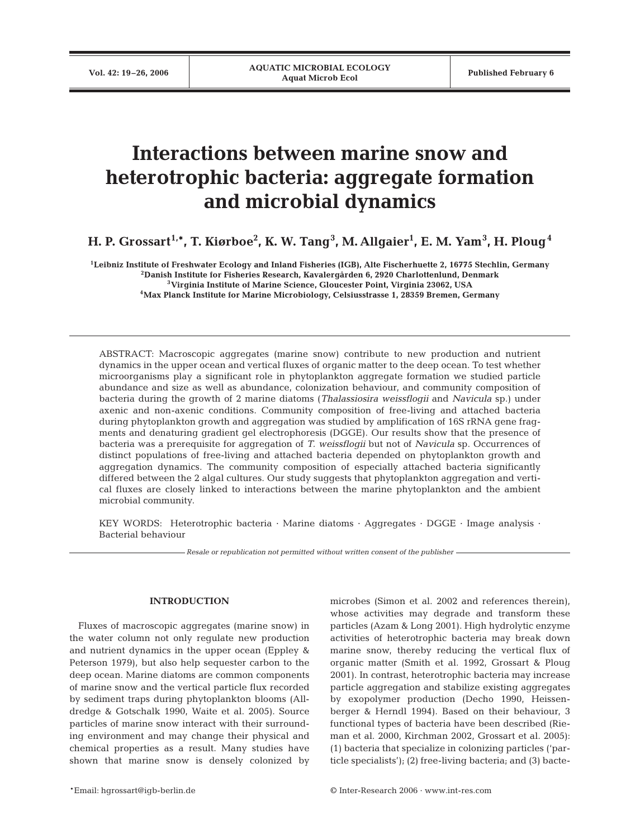# **Interactions between marine snow and heterotrophic bacteria: aggregate formation and microbial dynamics**

**H. P. Grossart1,\*, T. Kiørboe2 , K. W. Tang<sup>3</sup> , M. Allgaier1 , E. M. Yam<sup>3</sup> , H. Ploug<sup>4</sup>**

**1Leibniz Institute of Freshwater Ecology and Inland Fisheries (IGB), Alte Fischerhuette 2, 16775 Stechlin, Germany 2Danish Institute for Fisheries Research, Kavalergården 6, 2920 Charlottenlund, Denmark 3Virginia Institute of Marine Science, Gloucester Point, Virginia 23062, USA 4Max Planck Institute for Marine Microbiology, Celsiusstrasse 1, 28359 Bremen, Germany**

ABSTRACT: Macroscopic aggregates (marine snow) contribute to new production and nutrient dynamics in the upper ocean and vertical fluxes of organic matter to the deep ocean. To test whether microorganisms play a significant role in phytoplankton aggregate formation we studied particle abundance and size as well as abundance, colonization behaviour, and community composition of bacteria during the growth of 2 marine diatoms (*Thalassiosira weissflogii* and *Navicula* sp.) under axenic and non-axenic conditions. Community composition of free-living and attached bacteria during phytoplankton growth and aggregation was studied by amplification of 16S rRNA gene fragments and denaturing gradient gel electrophoresis (DGGE). Our results show that the presence of bacteria was a prerequisite for aggregation of *T. weissflogii* but not of *Navicula* sp. Occurrences of distinct populations of free-living and attached bacteria depended on phytoplankton growth and aggregation dynamics. The community composition of especially attached bacteria significantly differed between the 2 algal cultures. Our study suggests that phytoplankton aggregation and vertical fluxes are closely linked to interactions between the marine phytoplankton and the ambient microbial community.

KEY WORDS: Heterotrophic bacteria · Marine diatoms · Aggregates · DGGE · Image analysis · Bacterial behaviour

*Resale or republication not permitted without written consent of the publisher*

# **INTRODUCTION**

Fluxes of macroscopic aggregates (marine snow) in the water column not only regulate new production and nutrient dynamics in the upper ocean (Eppley & Peterson 1979), but also help sequester carbon to the deep ocean. Marine diatoms are common components of marine snow and the vertical particle flux recorded by sediment traps during phytoplankton blooms (Alldredge & Gotschalk 1990, Waite et al. 2005). Source particles of marine snow interact with their surrounding environment and may change their physical and chemical properties as a result. Many studies have shown that marine snow is densely colonized by microbes (Simon et al. 2002 and references therein), whose activities may degrade and transform these particles (Azam & Long 2001). High hydrolytic enzyme activities of heterotrophic bacteria may break down marine snow, thereby reducing the vertical flux of organic matter (Smith et al. 1992, Grossart & Ploug 2001). In contrast, heterotrophic bacteria may increase particle aggregation and stabilize existing aggregates by exopolymer production (Decho 1990, Heissenberger & Herndl 1994). Based on their behaviour, 3 functional types of bacteria have been described (Rieman et al. 2000, Kirchman 2002, Grossart et al. 2005): (1) bacteria that specialize in colonizing particles ('particle specialists'); (2) free-living bacteria; and (3) bacte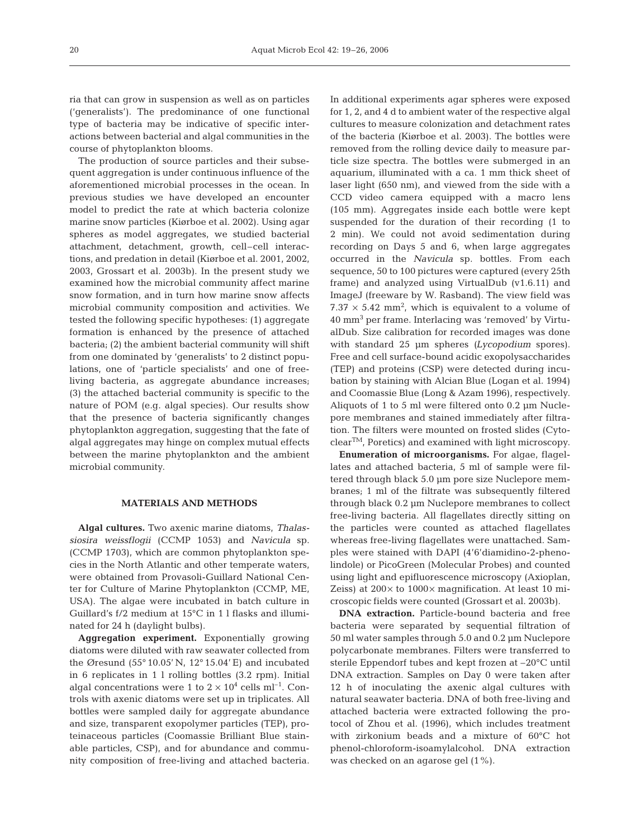ria that can grow in suspension as well as on particles ('generalists'). The predominance of one functional type of bacteria may be indicative of specific interactions between bacterial and algal communities in the course of phytoplankton blooms.

The production of source particles and their subsequent aggregation is under continuous influence of the aforementioned microbial processes in the ocean. In previous studies we have developed an encounter model to predict the rate at which bacteria colonize marine snow particles (Kiørboe et al. 2002). Using agar spheres as model aggregates, we studied bacterial attachment, detachment, growth, cell–cell interactions, and predation in detail (Kiørboe et al. 2001, 2002, 2003, Grossart et al. 2003b). In the present study we examined how the microbial community affect marine snow formation, and in turn how marine snow affects microbial community composition and activities. We tested the following specific hypotheses: (1) aggregate formation is enhanced by the presence of attached bacteria; (2) the ambient bacterial community will shift from one dominated by 'generalists' to 2 distinct populations, one of 'particle specialists' and one of freeliving bacteria, as aggregate abundance increases; (3) the attached bacterial community is specific to the nature of POM (e.g. algal species). Our results show that the presence of bacteria significantly changes phytoplankton aggregation, suggesting that the fate of algal aggregates may hinge on complex mutual effects between the marine phytoplankton and the ambient microbial community.

## **MATERIALS AND METHODS**

**Algal cultures.** Two axenic marine diatoms, *Thalassiosira weissflogii* (CCMP 1053) and *Navicula* sp. (CCMP 1703), which are common phytoplankton species in the North Atlantic and other temperate waters, were obtained from Provasoli-Guillard National Center for Culture of Marine Phytoplankton (CCMP, ME, USA). The algae were incubated in batch culture in Guillard's f/2 medium at 15°C in 1 l flasks and illuminated for 24 h (daylight bulbs).

**Aggregation experiment.** Exponentially growing diatoms were diluted with raw seawater collected from the Øresund (55° 10.05' N, 12° 15.04' E) and incubated in 6 replicates in 1 l rolling bottles (3.2 rpm). Initial algal concentrations were 1 to  $2 \times 10^4$  cells ml<sup>-1</sup>. Controls with axenic diatoms were set up in triplicates. All bottles were sampled daily for aggregate abundance and size, transparent exopolymer particles (TEP), proteinaceous particles (Coomassie Brilliant Blue stainable particles, CSP), and for abundance and community composition of free-living and attached bacteria.

In additional experiments agar spheres were exposed for 1, 2, and 4 d to ambient water of the respective algal cultures to measure colonization and detachment rates of the bacteria (Kiørboe et al. 2003). The bottles were removed from the rolling device daily to measure particle size spectra. The bottles were submerged in an aquarium, illuminated with a ca. 1 mm thick sheet of laser light (650 nm), and viewed from the side with a CCD video camera equipped with a macro lens (105 mm). Aggregates inside each bottle were kept suspended for the duration of their recording (1 to 2 min). We could not avoid sedimentation during recording on Days 5 and 6, when large aggregates occurred in the *Navicula* sp. bottles. From each sequence, 50 to 100 pictures were captured (every 25th frame) and analyzed using VirtualDub (v1.6.11) and ImageJ (freeware by W. Rasband). The view field was  $7.37 \times 5.42$  mm<sup>2</sup>, which is equivalent to a volume of 40 mm<sup>3</sup> per frame. Interlacing was 'removed' by VirtualDub. Size calibration for recorded images was done with standard 25 µm spheres *(Lycopodium* spores). Free and cell surface-bound acidic exopolysaccharides (TEP) and proteins (CSP) were detected during incubation by staining with Alcian Blue (Logan et al. 1994) and Coomassie Blue (Long & Azam 1996), respectively. Aliquots of 1 to 5 ml were filtered onto 0.2 µm Nuclepore membranes and stained immediately after filtration. The filters were mounted on frosted slides (CytoclearTM, Poretics) and examined with light microscopy.

**Enumeration of microorganisms.** For algae, flagellates and attached bacteria, 5 ml of sample were filtered through black 5.0 µm pore size Nuclepore membranes; 1 ml of the filtrate was subsequently filtered through black 0.2 µm Nuclepore membranes to collect free-living bacteria. All flagellates directly sitting on the particles were counted as attached flagellates whereas free-living flagellates were unattached. Samples were stained with DAPI (4'6'diamidino-2-phenolindole) or PicoGreen (Molecular Probes) and counted using light and epifluorescence microscopy (Axioplan, Zeiss) at  $200 \times$  to  $1000 \times$  magnification. At least 10 microscopic fields were counted (Grossart et al. 2003b).

**DNA extraction.** Particle-bound bacteria and free bacteria were separated by sequential filtration of 50 ml water samples through 5.0 and 0.2 µm Nuclepore polycarbonate membranes. Filters were transferred to sterile Eppendorf tubes and kept frozen at –20°C until DNA extraction. Samples on Day 0 were taken after 12 h of inoculating the axenic algal cultures with natural seawater bacteria. DNA of both free-living and attached bacteria were extracted following the protocol of Zhou et al. (1996), which includes treatment with zirkonium beads and a mixture of 60°C hot phenol-chloroform-isoamylalcohol. DNA extraction was checked on an agarose gel (1%).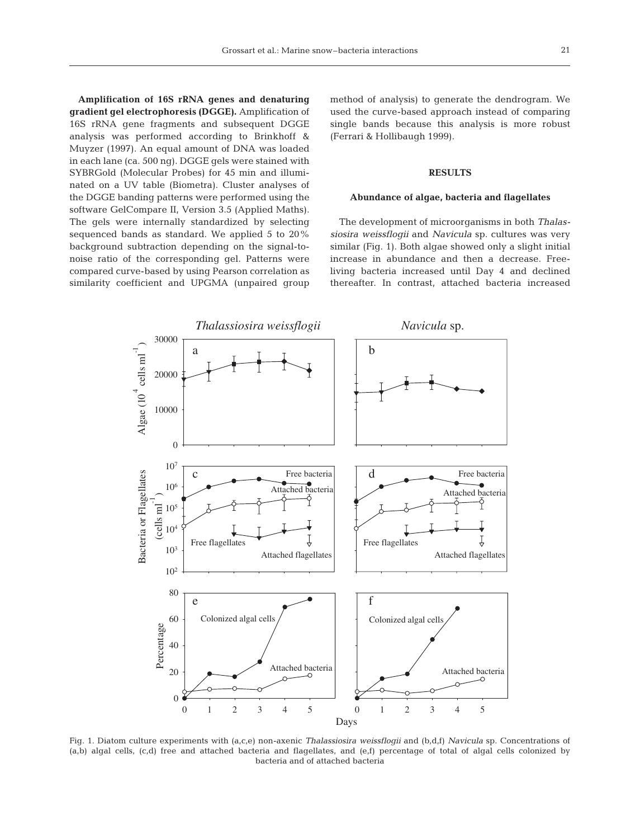**Amplification of 16S rRNA genes and denaturing gradient gel electrophoresis (DGGE).** Amplification of 16S rRNA gene fragments and subsequent DGGE analysis was performed according to Brinkhoff & Muyzer (1997). An equal amount of DNA was loaded in each lane (ca. 500 ng). DGGE gels were stained with SYBRGold (Molecular Probes) for 45 min and illuminated on a UV table (Biometra). Cluster analyses of the DGGE banding patterns were performed using the software GelCompare II, Version 3.5 (Applied Maths). The gels were internally standardized by selecting sequenced bands as standard. We applied 5 to 20% background subtraction depending on the signal-tonoise ratio of the corresponding gel. Patterns were compared curve-based by using Pearson correlation as similarity coefficient and UPGMA (unpaired group method of analysis) to generate the dendrogram. We used the curve-based approach instead of comparing single bands because this analysis is more robust (Ferrari & Hollibaugh 1999).

# **RESULTS**

## **Abundance of algae, bacteria and flagellates**

The development of microorganisms in both *Thalassiosira weissflogii* and *Navicula* sp. cultures was very similar (Fig. 1). Both algae showed only a slight initial increase in abundance and then a decrease. Freeliving bacteria increased until Day 4 and declined thereafter. In contrast, attached bacteria increased



Fig. 1. Diatom culture experiments with (a,c,e) non-axenic *Thalassiosira weissflogii* and (b,d,f) *Navicula* sp. Concentrations of (a,b) algal cells, (c,d) free and attached bacteria and flagellates, and (e,f) percentage of total of algal cells colonized by bacteria and of attached bacteria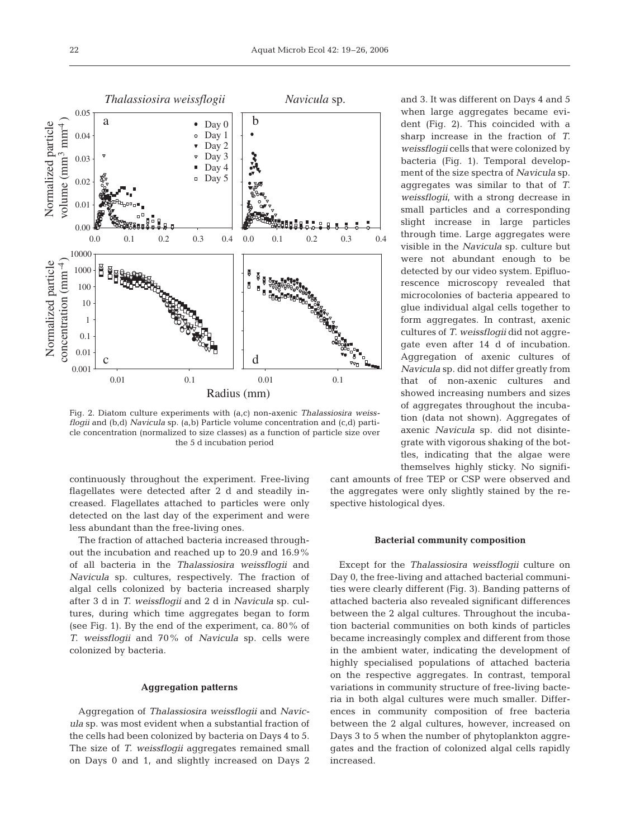

Fig. 2. Diatom culture experiments with (a,c) non-axenic *Thalassiosira weissflogii* and (b,d) *Navicula* sp. (a,b) Particle volume concentration and (c,d) particle concentration (normalized to size classes) as a function of particle size over the 5 d incubation period

continuously throughout the experiment. Free-living flagellates were detected after 2 d and steadily increased. Flagellates attached to particles were only detected on the last day of the experiment and were less abundant than the free-living ones.

The fraction of attached bacteria increased throughout the incubation and reached up to 20.9 and 16.9% of all bacteria in the *Thalassiosira weissflogii* and *Navicula* sp. cultures, respectively. The fraction of algal cells colonized by bacteria increased sharply after 3 d in *T. weissflogii* and 2 d in *Navicula* sp. cultures, during which time aggregates began to form (see Fig. 1). By the end of the experiment, ca. 80% of *T. weissflogii* and 70% of *Navicula* sp. cells were colonized by bacteria.

## **Aggregation patterns**

Aggregation of *Thalassiosira weissflogii* and *Navicula* sp. was most evident when a substantial fraction of the cells had been colonized by bacteria on Days 4 to 5. The size of *T. weissflogii* aggregates remained small on Days 0 and 1, and slightly increased on Days 2

and 3. It was different on Days 4 and 5 when large aggregates became evident (Fig. 2). This coincided with a sharp increase in the fraction of *T. weissflogii* cells that were colonized by bacteria (Fig. 1). Temporal development of the size spectra of *Navicula* sp. aggregates was similar to that of *T. weissflogii*, with a strong decrease in small particles and a corresponding slight increase in large particles through time. Large aggregates were visible in the *Navicula* sp. culture but were not abundant enough to be detected by our video system. Epifluorescence microscopy revealed that microcolonies of bacteria appeared to glue individual algal cells together to form aggregates. In contrast, axenic cultures of *T. weissflogii* did not aggregate even after 14 d of incubation. Aggregation of axenic cultures of *Navicula* sp. did not differ greatly from that of non-axenic cultures and showed increasing numbers and sizes of aggregates throughout the incubation (data not shown). Aggregates of axenic *Navicula* sp. did not disintegrate with vigorous shaking of the bottles, indicating that the algae were themselves highly sticky. No signifi-

cant amounts of free TEP or CSP were observed and the aggregates were only slightly stained by the respective histological dyes.

#### **Bacterial community composition**

Except for the *Thalassiosira weissflogii* culture on Day 0, the free-living and attached bacterial communities were clearly different (Fig. 3). Banding patterns of attached bacteria also revealed significant differences between the 2 algal cultures. Throughout the incubation bacterial communities on both kinds of particles became increasingly complex and different from those in the ambient water, indicating the development of highly specialised populations of attached bacteria on the respective aggregates. In contrast, temporal variations in community structure of free-living bacteria in both algal cultures were much smaller. Differences in community composition of free bacteria between the 2 algal cultures, however, increased on Days 3 to 5 when the number of phytoplankton aggregates and the fraction of colonized algal cells rapidly increased.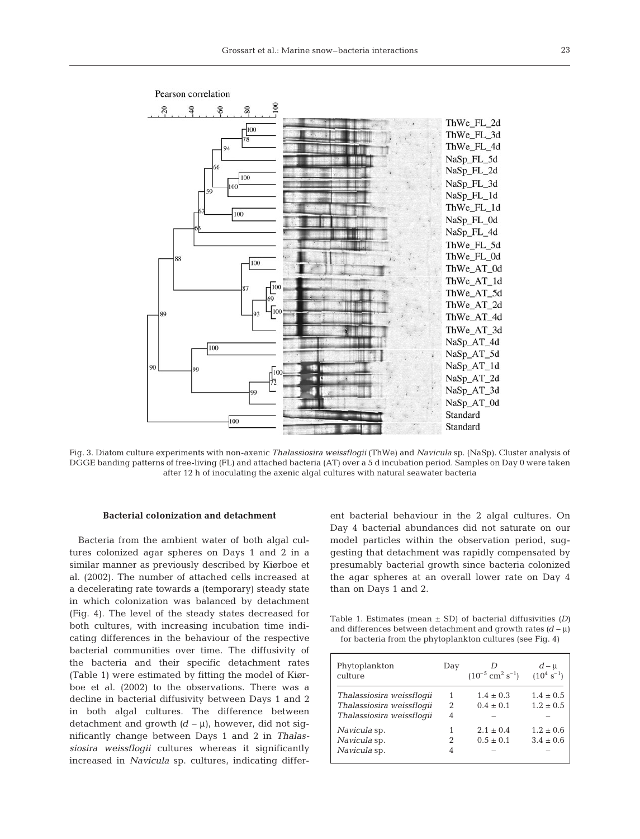

Pearson correlation

Fig. 3. Diatom culture experiments with non-axenic *Thalassiosira weissflogii* (ThWe) and *Navicula* sp. (NaSp). Cluster analysis of DGGE banding patterns of free-living (FL) and attached bacteria (AT) over a 5 d incubation period. Samples on Day 0 were taken after 12 h of inoculating the axenic algal cultures with natural seawater bacteria

#### **Bacterial colonization and detachment**

Bacteria from the ambient water of both algal cultures colonized agar spheres on Days 1 and 2 in a similar manner as previously described by Kiørboe et al. (2002). The number of attached cells increased at a decelerating rate towards a (temporary) steady state in which colonization was balanced by detachment (Fig. 4). The level of the steady states decreased for both cultures, with increasing incubation time indicating differences in the behaviour of the respective bacterial communities over time. The diffusivity of the bacteria and their specific detachment rates (Table 1) were estimated by fitting the model of Kiørboe et al. (2002) to the observations. There was a decline in bacterial diffusivity between Days 1 and 2 in both algal cultures. The difference between detachment and growth  $(d - \mu)$ , however, did not significantly change between Days 1 and 2 in *Thalassiosira weissflogii* cultures whereas it significantly increased in *Navicula* sp. cultures, indicating different bacterial behaviour in the 2 algal cultures. On Day 4 bacterial abundances did not saturate on our model particles within the observation period, suggesting that detachment was rapidly compensated by presumably bacterial growth since bacteria colonized the agar spheres at an overall lower rate on Day 4 than on Days 1 and 2.

Table 1. Estimates (mean ± SD) of bacterial diffusivities *(D)* and differences between detachment and growth rates  $(d - \mu)$ for bacteria from the phytoplankton cultures (see Fig. 4)

| Phytoplankton<br>culture                                                            | Day                      | $(10^{-5}$ cm <sup>2</sup> s <sup>-1</sup> ) | $d - \mu$<br>$(10^4 \text{ s}^{-1})$ |
|-------------------------------------------------------------------------------------|--------------------------|----------------------------------------------|--------------------------------------|
| Thalassiosira weissfloqii<br>Thalassiosira weissflogii<br>Thalassiosira weissfloqii | 1<br>$\mathfrak{D}$<br>4 | $1.4 \pm 0.3$<br>$0.4 \pm 0.1$               | $1.4 \pm 0.5$<br>$1.2 \pm 0.5$       |
| Navicula sp.<br>Navicula sp.<br>Navicula sp.                                        | 2                        | $2.1 \pm 0.4$<br>$0.5 \pm 0.1$               | $1.2 \pm 0.6$<br>$3.4 \pm 0.6$       |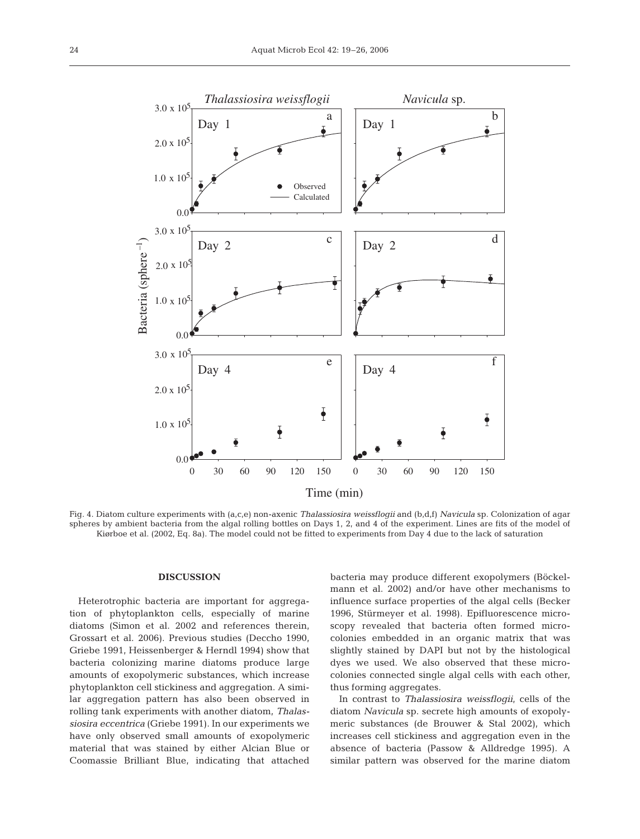

Fig. 4. Diatom culture experiments with (a,c,e) non-axenic *Thalassiosira weissflogii* and (b,d,f) *Navicula* sp. Colonization of agar spheres by ambient bacteria from the algal rolling bottles on Days 1, 2, and 4 of the experiment. Lines are fits of the model of Kiørboe et al. (2002, Eq. 8a). The model could not be fitted to experiments from Day 4 due to the lack of saturation

## **DISCUSSION**

Heterotrophic bacteria are important for aggregation of phytoplankton cells, especially of marine diatoms (Simon et al. 2002 and references therein, Grossart et al. 2006). Previous studies (Deccho 1990, Griebe 1991, Heissenberger & Herndl 1994) show that bacteria colonizing marine diatoms produce large amounts of exopolymeric substances, which increase phytoplankton cell stickiness and aggregation. A similar aggregation pattern has also been observed in rolling tank experiments with another diatom, *Thalassiosira eccentrica* (Griebe 1991). In our experiments we have only observed small amounts of exopolymeric material that was stained by either Alcian Blue or Coomassie Brilliant Blue, indicating that attached

bacteria may produce different exopolymers (Böckelmann et al. 2002) and/or have other mechanisms to influence surface properties of the algal cells (Becker 1996, Stürmeyer et al. 1998). Epifluorescence microscopy revealed that bacteria often formed microcolonies embedded in an organic matrix that was slightly stained by DAPI but not by the histological dyes we used. We also observed that these microcolonies connected single algal cells with each other, thus forming aggregates.

In contrast to *Thalassiosira weissflogii*, cells of the diatom *Navicula* sp. secrete high amounts of exopolymeric substances (de Brouwer & Stal 2002), which increases cell stickiness and aggregation even in the absence of bacteria (Passow & Alldredge 1995). A similar pattern was observed for the marine diatom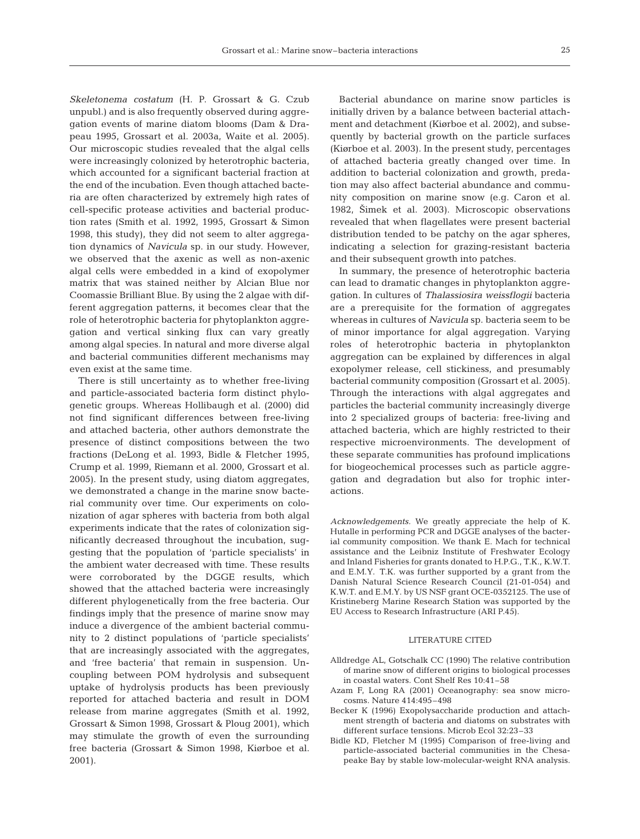*Skeletonema costatum* (H. P. Grossart & G. Czub unpubl.) and is also frequently observed during aggregation events of marine diatom blooms (Dam & Drapeau 1995, Grossart et al. 2003a, Waite et al. 2005). Our microscopic studies revealed that the algal cells were increasingly colonized by heterotrophic bacteria, which accounted for a significant bacterial fraction at the end of the incubation. Even though attached bacteria are often characterized by extremely high rates of cell-specific protease activities and bacterial production rates (Smith et al. 1992, 1995, Grossart & Simon 1998, this study), they did not seem to alter aggregation dynamics of *Navicula* sp. in our study. However, we observed that the axenic as well as non-axenic algal cells were embedded in a kind of exopolymer matrix that was stained neither by Alcian Blue nor Coomassie Brilliant Blue. By using the 2 algae with different aggregation patterns, it becomes clear that the role of heterotrophic bacteria for phytoplankton aggregation and vertical sinking flux can vary greatly among algal species. In natural and more diverse algal and bacterial communities different mechanisms may even exist at the same time.

There is still uncertainty as to whether free-living and particle-associated bacteria form distinct phylogenetic groups. Whereas Hollibaugh et al. (2000) did not find significant differences between free-living and attached bacteria, other authors demonstrate the presence of distinct compositions between the two fractions (DeLong et al. 1993, Bidle & Fletcher 1995, Crump et al. 1999, Riemann et al. 2000, Grossart et al. 2005). In the present study, using diatom aggregates, we demonstrated a change in the marine snow bacterial community over time. Our experiments on colonization of agar spheres with bacteria from both algal experiments indicate that the rates of colonization significantly decreased throughout the incubation, suggesting that the population of 'particle specialists' in the ambient water decreased with time. These results were corroborated by the DGGE results, which showed that the attached bacteria were increasingly different phylogenetically from the free bacteria. Our findings imply that the presence of marine snow may induce a divergence of the ambient bacterial community to 2 distinct populations of 'particle specialists' that are increasingly associated with the aggregates, and 'free bacteria' that remain in suspension. Uncoupling between POM hydrolysis and subsequent uptake of hydrolysis products has been previously reported for attached bacteria and result in DOM release from marine aggregates (Smith et al. 1992, Grossart & Simon 1998, Grossart & Ploug 2001), which may stimulate the growth of even the surrounding free bacteria (Grossart & Simon 1998, Kiørboe et al. 2001).

Bacterial abundance on marine snow particles is initially driven by a balance between bacterial attachment and detachment (Kiørboe et al. 2002), and subsequently by bacterial growth on the particle surfaces (Kiørboe et al. 2003). In the present study, percentages of attached bacteria greatly changed over time. In addition to bacterial colonization and growth, predation may also affect bacterial abundance and community composition on marine snow (e.g. Caron et al. 1982, Šimek et al. 2003). Microscopic observations revealed that when flagellates were present bacterial distribution tended to be patchy on the agar spheres, indicating a selection for grazing-resistant bacteria and their subsequent growth into patches.

In summary, the presence of heterotrophic bacteria can lead to dramatic changes in phytoplankton aggregation. In cultures of *Thalassiosira weissflogii* bacteria are a prerequisite for the formation of aggregates whereas in cultures of *Navicula* sp. bacteria seem to be of minor importance for algal aggregation. Varying roles of heterotrophic bacteria in phytoplankton aggregation can be explained by differences in algal exopolymer release, cell stickiness, and presumably bacterial community composition (Grossart et al. 2005). Through the interactions with algal aggregates and particles the bacterial community increasingly diverge into 2 specialized groups of bacteria: free-living and attached bacteria, which are highly restricted to their respective microenvironments. The development of these separate communities has profound implications for biogeochemical processes such as particle aggregation and degradation but also for trophic interactions.

*Acknowledgements.* We greatly appreciate the help of K. Hutalle in performing PCR and DGGE analyses of the bacterial community composition. We thank E. Mach for technical assistance and the Leibniz Institute of Freshwater Ecology and Inland Fisheries for grants donated to H.P.G., T.K., K.W.T. and E.M.Y. T.K. was further supported by a grant from the Danish Natural Science Research Council (21-01-054) and K.W.T. and E.M.Y. by US NSF grant OCE-0352125. The use of Kristineberg Marine Research Station was supported by the EU Access to Research Infrastructure (ARI P.45).

#### LITERATURE CITED

- Alldredge AL, Gotschalk CC (1990) The relative contribution of marine snow of different origins to biological processes in coastal waters. Cont Shelf Res 10:41–58
- Azam F, Long RA (2001) Oceanography: sea snow microcosms. Nature 414:495–498
- Becker K (1996) Exopolysaccharide production and attachment strength of bacteria and diatoms on substrates with different surface tensions. Microb Ecol 32:23–33
- Bidle KD, Fletcher M (1995) Comparison of free-living and particle-associated bacterial communities in the Chesapeake Bay by stable low-molecular-weight RNA analysis.